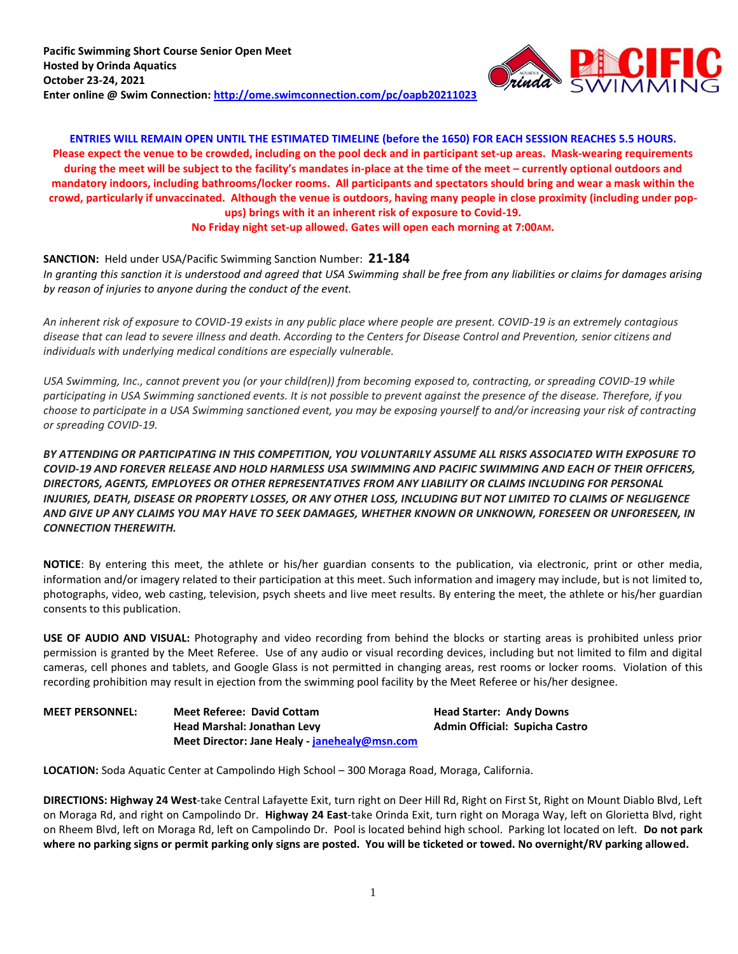

**ENTRIES WILL REMAIN OPEN UNTIL THE ESTIMATED TIMELINE (before the 1650) FOR EACH SESSION REACHES 5.5 HOURS. Please expect the venue to be crowded, including on the pool deck and in participant set-up areas. Mask-wearing requirements during the meet will be subject to the facility's mandates in-place at the time of the meet – currently optional outdoors and mandatory indoors, including bathrooms/locker rooms. All participants and spectators should bring and wear a mask within the crowd, particularly if unvaccinated. Although the venue is outdoors, having many people in close proximity (including under popups) brings with it an inherent risk of exposure to Covid-19. No Friday night set-up allowed. Gates will open each morning at 7:00AM.**

**SANCTION:** Held under USA/Pacific Swimming Sanction Number: **21-184** *In granting this sanction it is understood and agreed that USA Swimming shall be free from any liabilities or claims for damages arising by reason of injuries to anyone during the conduct of the event.*

*An inherent risk of exposure to COVID-19 exists in any public place where people are present. COVID-19 is an extremely contagious disease that can lead to severe illness and death. According to the Centers for Disease Control and Prevention, senior citizens and individuals with underlying medical conditions are especially vulnerable.*

*USA Swimming, Inc., cannot prevent you (or your child(ren)) from becoming exposed to, contracting, or spreading COVID-19 while participating in USA Swimming sanctioned events. It is not possible to prevent against the presence of the disease. Therefore, if you choose to participate in a USA Swimming sanctioned event, you may be exposing yourself to and/or increasing your risk of contracting or spreading COVID-19.*

*BY ATTENDING OR PARTICIPATING IN THIS COMPETITION, YOU VOLUNTARILY ASSUME ALL RISKS ASSOCIATED WITH EXPOSURE TO COVID-19 AND FOREVER RELEASE AND HOLD HARMLESS USA SWIMMING AND PACIFIC SWIMMING AND EACH OF THEIR OFFICERS, DIRECTORS, AGENTS, EMPLOYEES OR OTHER REPRESENTATIVES FROM ANY LIABILITY OR CLAIMS INCLUDING FOR PERSONAL INJURIES, DEATH, DISEASE OR PROPERTY LOSSES, OR ANY OTHER LOSS, INCLUDING BUT NOT LIMITED TO CLAIMS OF NEGLIGENCE AND GIVE UP ANY CLAIMS YOU MAY HAVE TO SEEK DAMAGES, WHETHER KNOWN OR UNKNOWN, FORESEEN OR UNFORESEEN, IN CONNECTION THEREWITH.*

**NOTICE**: By entering this meet, the athlete or his/her guardian consents to the publication, via electronic, print or other media, information and/or imagery related to their participation at this meet. Such information and imagery may include, but is not limited to, photographs, video, web casting, television, psych sheets and live meet results. By entering the meet, the athlete or his/her guardian consents to this publication.

**USE OF AUDIO AND VISUAL:** Photography and video recording from behind the blocks or starting areas is prohibited unless prior permission is granted by the Meet Referee. Use of any audio or visual recording devices, including but not limited to film and digital cameras, cell phones and tablets, and Google Glass is not permitted in changing areas, rest rooms or locker rooms. Violation of this recording prohibition may result in ejection from the swimming pool facility by the Meet Referee or his/her designee.

| <b>MEET PERSONNEL:</b> | <b>Meet Referee: David Cottam</b>             | <b>Head Starter: Andy Downs</b> |
|------------------------|-----------------------------------------------|---------------------------------|
|                        | Head Marshal: Jonathan Levy                   | Admin Official: Supicha Castro  |
|                        | Meet Director: Jane Healy - janehealy@msn.com |                                 |

**LOCATION:** Soda Aquatic Center at Campolindo High School – 300 Moraga Road, Moraga, California.

**DIRECTIONS: Highway 24 West**-take Central Lafayette Exit, turn right on Deer Hill Rd, Right on First St, Right on Mount Diablo Blvd, Left on Moraga Rd, and right on Campolindo Dr. **Highway 24 East**-take Orinda Exit, turn right on Moraga Way, left on Glorietta Blvd, right on Rheem Blvd, left on Moraga Rd, left on Campolindo Dr. Pool is located behind high school. Parking lot located on left. **Do not park where no parking signs or permit parking only signs are posted. You will be ticketed or towed. No overnight/RV parking allowed.**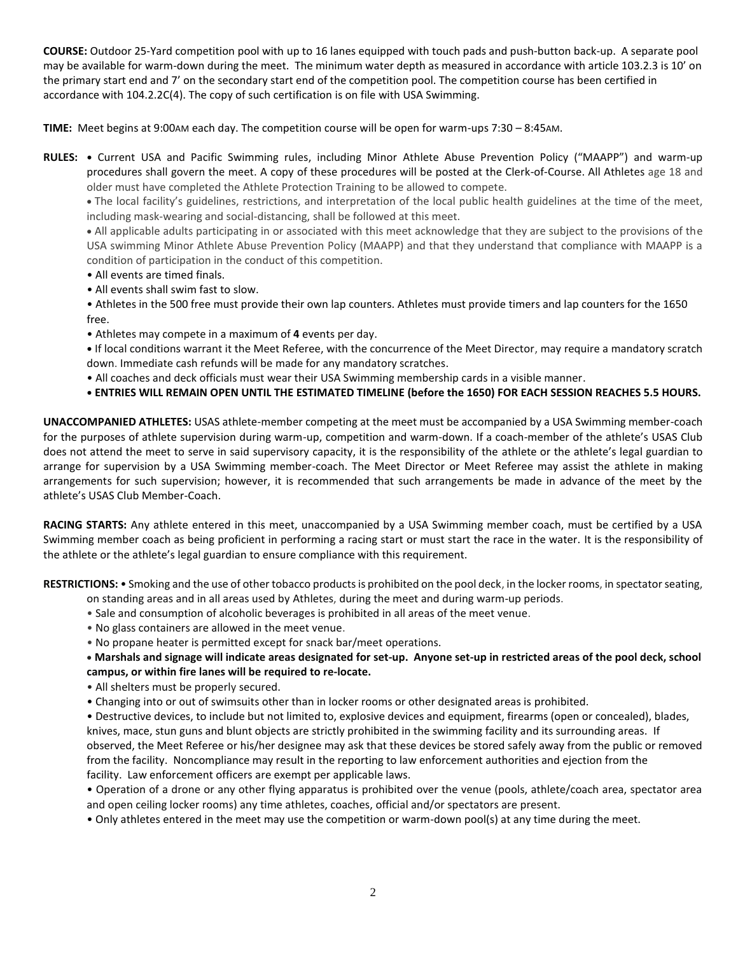**COURSE:** Outdoor 25-Yard competition pool with up to 16 lanes equipped with touch pads and push-button back-up. A separate pool may be available for warm-down during the meet. The minimum water depth as measured in accordance with article 103.2.3 is 10' on the primary start end and 7' on the secondary start end of the competition pool. The competition course has been certified in accordance with 104.2.2C(4). The copy of such certification is on file with USA Swimming.

**TIME:** Meet begins at 9:00AM each day. The competition course will be open for warm-ups 7:30 – 8:45AM.

**RULES: •** Current USA and Pacific Swimming rules, including Minor Athlete Abuse Prevention Policy ("MAAPP") and warm-up procedures shall govern the meet. A copy of these procedures will be posted at the Clerk-of-Course. All Athletes age 18 and older must have completed the Athlete Protection Training to be allowed to compete.

 The local facility's guidelines, restrictions, and interpretation of the local public health guidelines at the time of the meet, including mask-wearing and social-distancing, shall be followed at this meet.

 All applicable adults participating in or associated with this meet acknowledge that they are subject to the provisions of the USA swimming Minor Athlete Abuse Prevention Policy (MAAPP) and that they understand that compliance with MAAPP is a condition of participation in the conduct of this competition.

- All events are timed finals.
- All events shall swim fast to slow.

• Athletes in the 500 free must provide their own lap counters. Athletes must provide timers and lap counters for the 1650 free.

• Athletes may compete in a maximum of **4** events per day.

**•** If local conditions warrant it the Meet Referee, with the concurrence of the Meet Director, may require a mandatory scratch down. Immediate cash refunds will be made for any mandatory scratches.

- All coaches and deck officials must wear their USA Swimming membership cards in a visible manner.
- **• ENTRIES WILL REMAIN OPEN UNTIL THE ESTIMATED TIMELINE (before the 1650) FOR EACH SESSION REACHES 5.5 HOURS.**

**UNACCOMPANIED ATHLETES:** USAS athlete-member competing at the meet must be accompanied by a USA Swimming member-coach for the purposes of athlete supervision during warm-up, competition and warm-down. If a coach-member of the athlete's USAS Club does not attend the meet to serve in said supervisory capacity, it is the responsibility of the athlete or the athlete's legal guardian to arrange for supervision by a USA Swimming member-coach. The Meet Director or Meet Referee may assist the athlete in making arrangements for such supervision; however, it is recommended that such arrangements be made in advance of the meet by the athlete's USAS Club Member-Coach.

**RACING STARTS:** Any athlete entered in this meet, unaccompanied by a USA Swimming member coach, must be certified by a USA Swimming member coach as being proficient in performing a racing start or must start the race in the water. It is the responsibility of the athlete or the athlete's legal guardian to ensure compliance with this requirement.

**RESTRICTIONS:** • Smoking and the use of other tobacco products is prohibited on the pool deck, in the locker rooms, in spectator seating,

on standing areas and in all areas used by Athletes, during the meet and during warm-up periods.

- Sale and consumption of alcoholic beverages is prohibited in all areas of the meet venue.
- No glass containers are allowed in the meet venue.
- No propane heater is permitted except for snack bar/meet operations.

 **Marshals and signage will indicate areas designated for set-up. Anyone set-up in restricted areas of the pool deck, school campus, or within fire lanes will be required to re-locate.** 

- All shelters must be properly secured.
- Changing into or out of swimsuits other than in locker rooms or other designated areas is prohibited.

• Destructive devices, to include but not limited to, explosive devices and equipment, firearms (open or concealed), blades, knives, mace, stun guns and blunt objects are strictly prohibited in the swimming facility and its surrounding areas. If observed, the Meet Referee or his/her designee may ask that these devices be stored safely away from the public or removed from the facility. Noncompliance may result in the reporting to law enforcement authorities and ejection from the facility. Law enforcement officers are exempt per applicable laws.

• Operation of a drone or any other flying apparatus is prohibited over the venue (pools, athlete/coach area, spectator area and open ceiling locker rooms) any time athletes, coaches, official and/or spectators are present.

• Only athletes entered in the meet may use the competition or warm-down pool(s) at any time during the meet.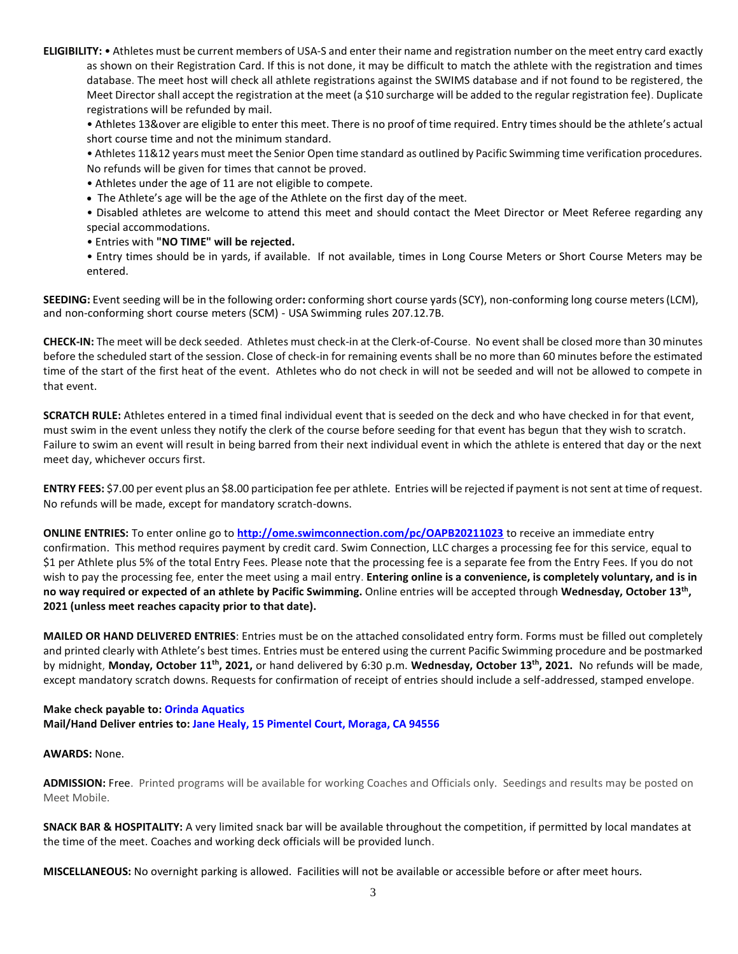**ELIGIBILITY:** • Athletes must be current members of USA-S and enter their name and registration number on the meet entry card exactly as shown on their Registration Card. If this is not done, it may be difficult to match the athlete with the registration and times database. The meet host will check all athlete registrations against the SWIMS database and if not found to be registered, the Meet Director shall accept the registration at the meet (a \$10 surcharge will be added to the regular registration fee). Duplicate registrations will be refunded by mail.

• Athletes 13&over are eligible to enter this meet. There is no proof of time required. Entry times should be the athlete's actual short course time and not the minimum standard.

• Athletes 11&12 years must meet the Senior Open time standard as outlined by Pacific Swimming time verification procedures. No refunds will be given for times that cannot be proved.

- Athletes under the age of 11 are not eligible to compete.
- The Athlete's age will be the age of the Athlete on the first day of the meet.

• Disabled athletes are welcome to attend this meet and should contact the Meet Director or Meet Referee regarding any special accommodations.

- Entries with **"NO TIME" will be rejected.**
- Entry times should be in yards, if available. If not available, times in Long Course Meters or Short Course Meters may be entered.

**SEEDING:** Event seeding will be in the following order**:** conforming short course yards (SCY), non-conforming long course meters (LCM), and non-conforming short course meters (SCM) - USA Swimming rules 207.12.7B.

**CHECK-IN:** The meet will be deck seeded. Athletes must check-in at the Clerk-of-Course. No event shall be closed more than 30 minutes before the scheduled start of the session. Close of check-in for remaining events shall be no more than 60 minutes before the estimated time of the start of the first heat of the event. Athletes who do not check in will not be seeded and will not be allowed to compete in that event.

**SCRATCH RULE:** Athletes entered in a timed final individual event that is seeded on the deck and who have checked in for that event, must swim in the event unless they notify the clerk of the course before seeding for that event has begun that they wish to scratch. Failure to swim an event will result in being barred from their next individual event in which the athlete is entered that day or the next meet day, whichever occurs first.

**ENTRY FEES:** \$7.00 per event plus an \$8.00 participation fee per athlete. Entries will be rejected if payment is not sent at time of request. No refunds will be made, except for mandatory scratch-downs.

**ONLINE ENTRIES:** To enter online go to **<http://ome.swimconnection.com/pc/OAPB20211023>** to receive an immediate entry confirmation. This method requires payment by credit card. Swim Connection, LLC charges a processing fee for this service, equal to \$1 per Athlete plus 5% of the total Entry Fees. Please note that the processing fee is a separate fee from the Entry Fees. If you do not wish to pay the processing fee, enter the meet using a mail entry. **Entering online is a convenience, is completely voluntary, and is in no way required or expected of an athlete by Pacific Swimming.** Online entries will be accepted through **Wednesday, October 13th , 2021 (unless meet reaches capacity prior to that date).**

**MAILED OR HAND DELIVERED ENTRIES**: Entries must be on the attached consolidated entry form. Forms must be filled out completely and printed clearly with Athlete's best times. Entries must be entered using the current Pacific Swimming procedure and be postmarked by midnight, **Monday, October 11th , 2021,** or hand delivered by 6:30 p.m. **Wednesday, October 13th , 2021.** No refunds will be made, except mandatory scratch downs. Requests for confirmation of receipt of entries should include a self-addressed, stamped envelope.

## **Make check payable to: Orinda Aquatics Mail/Hand Deliver entries to: Jane Healy, 15 Pimentel Court, Moraga, CA 94556**

## **AWARDS:** None.

**ADMISSION:** Free. Printed programs will be available for working Coaches and Officials only. Seedings and results may be posted on Meet Mobile.

**SNACK BAR & HOSPITALITY:** A very limited snack bar will be available throughout the competition, if permitted by local mandates at the time of the meet. Coaches and working deck officials will be provided lunch.

**MISCELLANEOUS:** No overnight parking is allowed. Facilities will not be available or accessible before or after meet hours.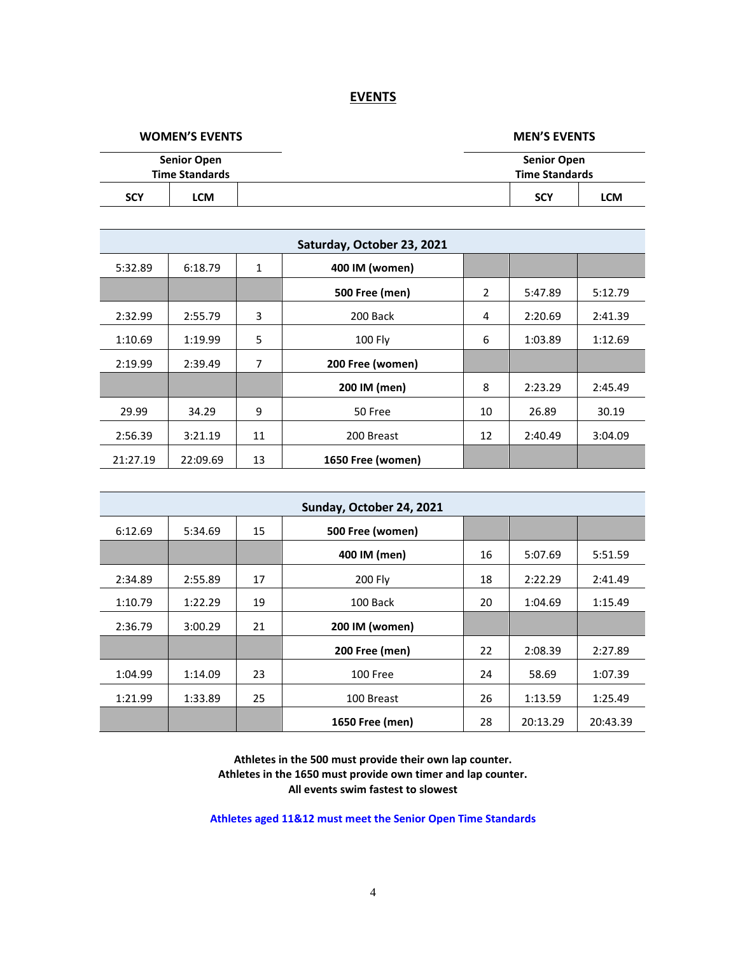## **EVENTS**

**WOMEN'S EVENTS MEN'S EVENTS**

|                       | <b>Senior Open</b> | <b>Senior Open</b>    |            |  |  |  |  |  |
|-----------------------|--------------------|-----------------------|------------|--|--|--|--|--|
| <b>Time Standards</b> |                    | <b>Time Standards</b> |            |  |  |  |  |  |
| <b>SCY</b>            | LCM                | <b>SCY</b>            | <b>LCM</b> |  |  |  |  |  |

| Saturday, October 23, 2021 |          |    |                       |                |         |         |  |  |  |  |
|----------------------------|----------|----|-----------------------|----------------|---------|---------|--|--|--|--|
| 5:32.89                    | 6:18.79  | 1  | 400 IM (women)        |                |         |         |  |  |  |  |
|                            |          |    | <b>500 Free (men)</b> | $\overline{2}$ | 5:47.89 | 5:12.79 |  |  |  |  |
| 2:32.99                    | 2:55.79  | 3  | 200 Back              | 4              | 2:20.69 | 2:41.39 |  |  |  |  |
| 1:10.69                    | 1:19.99  | 5  | 100 Fly               | 6              | 1:03.89 | 1:12.69 |  |  |  |  |
| 2:19.99                    | 2:39.49  | 7  | 200 Free (women)      |                |         |         |  |  |  |  |
|                            |          |    | 200 IM (men)          | 8              | 2:23.29 | 2:45.49 |  |  |  |  |
| 29.99                      | 34.29    | 9  | 50 Free               | 10             | 26.89   | 30.19   |  |  |  |  |
| 2:56.39                    | 3:21.19  | 11 | 200 Breast            | 12             | 2:40.49 | 3:04.09 |  |  |  |  |
| 21:27.19                   | 22:09.69 | 13 | 1650 Free (women)     |                |         |         |  |  |  |  |

| Sunday, October 24, 2021 |         |    |                       |    |          |          |  |  |  |  |
|--------------------------|---------|----|-----------------------|----|----------|----------|--|--|--|--|
| 6:12.69                  | 5:34.69 | 15 | 500 Free (women)      |    |          |          |  |  |  |  |
|                          |         |    | 400 IM (men)          | 16 | 5:07.69  | 5:51.59  |  |  |  |  |
| 2:34.89                  | 2:55.89 | 17 | 200 Fly               | 18 | 2:22.29  | 2:41.49  |  |  |  |  |
| 1:10.79                  | 1:22.29 | 19 | 100 Back              | 20 | 1:04.69  | 1:15.49  |  |  |  |  |
| 2:36.79                  | 3:00.29 | 21 | 200 IM (women)        |    |          |          |  |  |  |  |
|                          |         |    | <b>200 Free (men)</b> | 22 | 2:08.39  | 2:27.89  |  |  |  |  |
| 1:04.99                  | 1:14.09 | 23 | 100 Free              | 24 | 58.69    | 1:07.39  |  |  |  |  |
| 1:21.99                  | 1:33.89 | 25 | 100 Breast            | 26 | 1:13.59  | 1:25.49  |  |  |  |  |
|                          |         |    | 1650 Free (men)       | 28 | 20:13.29 | 20:43.39 |  |  |  |  |

**Athletes in the 500 must provide their own lap counter. Athletes in the 1650 must provide own timer and lap counter. All events swim fastest to slowest**

**Athletes aged 11&12 must meet the Senior Open Time Standards**